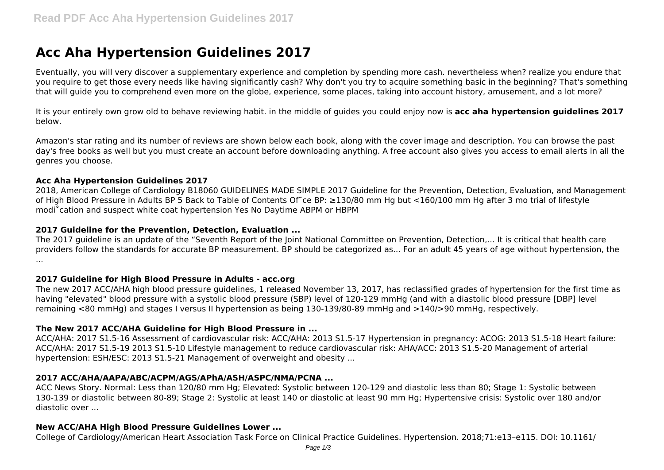# **Acc Aha Hypertension Guidelines 2017**

Eventually, you will very discover a supplementary experience and completion by spending more cash. nevertheless when? realize you endure that you require to get those every needs like having significantly cash? Why don't you try to acquire something basic in the beginning? That's something that will guide you to comprehend even more on the globe, experience, some places, taking into account history, amusement, and a lot more?

It is your entirely own grow old to behave reviewing habit. in the middle of guides you could enjoy now is **acc aha hypertension guidelines 2017** below.

Amazon's star rating and its number of reviews are shown below each book, along with the cover image and description. You can browse the past day's free books as well but you must create an account before downloading anything. A free account also gives you access to email alerts in all the genres you choose.

#### **Acc Aha Hypertension Guidelines 2017**

2018, American College of Cardiology B18060 GUIDELINES MADE SIMPLE 2017 Guideline for the Prevention, Detection, Evaluation, and Management of High Blood Pressure in Adults BP 5 Back to Table of Contents Of˜ce BP: ≥130/80 mm Hg but <160/100 mm Hg after 3 mo trial of lifestyle modi˚cation and suspect white coat hypertension Yes No Daytime ABPM or HBPM

#### **2017 Guideline for the Prevention, Detection, Evaluation ...**

The 2017 guideline is an update of the "Seventh Report of the Joint National Committee on Prevention, Detection,... It is critical that health care providers follow the standards for accurate BP measurement. BP should be categorized as... For an adult 45 years of age without hypertension, the ...

#### **2017 Guideline for High Blood Pressure in Adults - acc.org**

The new 2017 ACC/AHA high blood pressure guidelines, 1 released November 13, 2017, has reclassified grades of hypertension for the first time as having "elevated" blood pressure with a systolic blood pressure (SBP) level of 120-129 mmHg (and with a diastolic blood pressure [DBP] level remaining <80 mmHg) and stages I versus II hypertension as being 130-139/80-89 mmHg and >140/>90 mmHg, respectively.

#### **The New 2017 ACC/AHA Guideline for High Blood Pressure in ...**

ACC/AHA: 2017 S1.5-16 Assessment of cardiovascular risk: ACC/AHA: 2013 S1.5-17 Hypertension in pregnancy: ACOG: 2013 S1.5-18 Heart failure: ACC/AHA: 2017 S1.5-19 2013 S1.5-10 Lifestyle management to reduce cardiovascular risk: AHA/ACC: 2013 S1.5-20 Management of arterial hypertension: ESH/ESC: 2013 S1.5-21 Management of overweight and obesity ...

#### **2017 ACC/AHA/AAPA/ABC/ACPM/AGS/APhA/ASH/ASPC/NMA/PCNA ...**

ACC News Story. Normal: Less than 120/80 mm Hg; Elevated: Systolic between 120-129 and diastolic less than 80; Stage 1: Systolic between 130-139 or diastolic between 80-89; Stage 2: Systolic at least 140 or diastolic at least 90 mm Hg; Hypertensive crisis: Systolic over 180 and/or diastolic over ...

#### **New ACC/AHA High Blood Pressure Guidelines Lower ...**

College of Cardiology/American Heart Association Task Force on Clinical Practice Guidelines. Hypertension. 2018;71:e13–e115. DOI: 10.1161/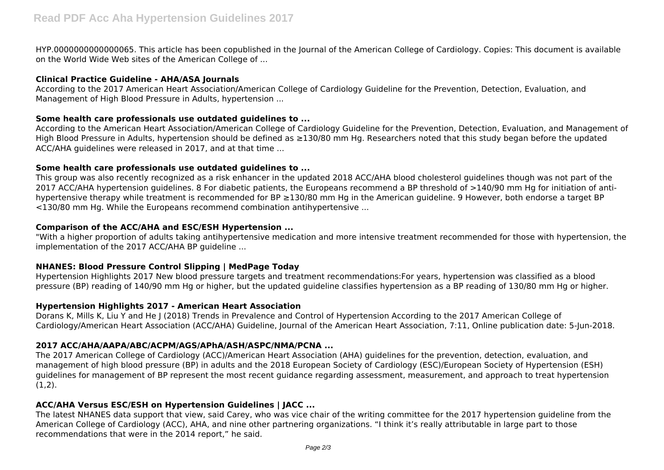HYP.0000000000000065. This article has been copublished in the Journal of the American College of Cardiology. Copies: This document is available on the World Wide Web sites of the American College of ...

#### **Clinical Practice Guideline - AHA/ASA Journals**

According to the 2017 American Heart Association/American College of Cardiology Guideline for the Prevention, Detection, Evaluation, and Management of High Blood Pressure in Adults, hypertension ...

### **Some health care professionals use outdated guidelines to ...**

According to the American Heart Association/American College of Cardiology Guideline for the Prevention, Detection, Evaluation, and Management of High Blood Pressure in Adults, hypertension should be defined as ≥130/80 mm Hg. Researchers noted that this study began before the updated ACC/AHA guidelines were released in 2017, and at that time ...

### **Some health care professionals use outdated guidelines to ...**

This group was also recently recognized as a risk enhancer in the updated 2018 ACC/AHA blood cholesterol guidelines though was not part of the 2017 ACC/AHA hypertension guidelines. 8 For diabetic patients, the Europeans recommend a BP threshold of >140/90 mm Hg for initiation of antihypertensive therapy while treatment is recommended for BP ≥130/80 mm Hg in the American guideline. 9 However, both endorse a target BP <130/80 mm Hg. While the Europeans recommend combination antihypertensive ...

## **Comparison of the ACC/AHA and ESC/ESH Hypertension ...**

"With a higher proportion of adults taking antihypertensive medication and more intensive treatment recommended for those with hypertension, the implementation of the 2017 ACC/AHA BP guideline ...

## **NHANES: Blood Pressure Control Slipping | MedPage Today**

Hypertension Highlights 2017 New blood pressure targets and treatment recommendations:For years, hypertension was classified as a blood pressure (BP) reading of 140/90 mm Hg or higher, but the updated guideline classifies hypertension as a BP reading of 130/80 mm Hg or higher.

## **Hypertension Highlights 2017 - American Heart Association**

Dorans K, Mills K, Liu Y and He J (2018) Trends in Prevalence and Control of Hypertension According to the 2017 American College of Cardiology/American Heart Association (ACC/AHA) Guideline, Journal of the American Heart Association, 7:11, Online publication date: 5-Jun-2018.

## **2017 ACC/AHA/AAPA/ABC/ACPM/AGS/APhA/ASH/ASPC/NMA/PCNA ...**

The 2017 American College of Cardiology (ACC)/American Heart Association (AHA) guidelines for the prevention, detection, evaluation, and management of high blood pressure (BP) in adults and the 2018 European Society of Cardiology (ESC)/European Society of Hypertension (ESH) guidelines for management of BP represent the most recent guidance regarding assessment, measurement, and approach to treat hypertension  $(1,2)$ .

## **ACC/AHA Versus ESC/ESH on Hypertension Guidelines | JACC ...**

The latest NHANES data support that view, said Carey, who was vice chair of the writing committee for the 2017 hypertension guideline from the American College of Cardiology (ACC), AHA, and nine other partnering organizations. "I think it's really attributable in large part to those recommendations that were in the 2014 report," he said.